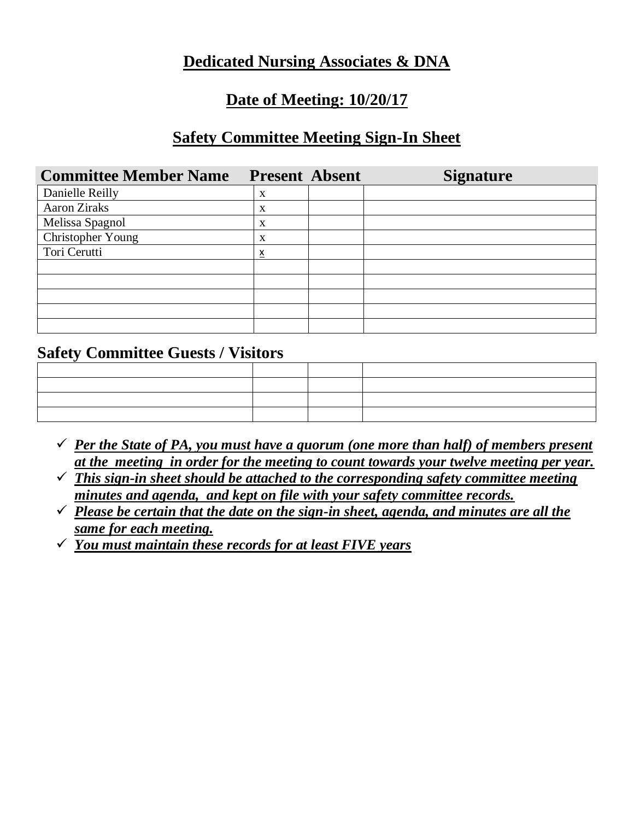## **Dedicated Nursing Associates & DNA**

### **Date of Meeting: 10/20/17**

### **Safety Committee Meeting Sign-In Sheet**

| <b>Committee Member Name</b> | <b>Present Absent</b> | <b>Signature</b> |
|------------------------------|-----------------------|------------------|
| Danielle Reilly              | X                     |                  |
| <b>Aaron Ziraks</b>          | X                     |                  |
| Melissa Spagnol              | X                     |                  |
| Christopher Young            | X                     |                  |
| Tori Cerutti                 | x                     |                  |
|                              |                       |                  |
|                              |                       |                  |
|                              |                       |                  |
|                              |                       |                  |
|                              |                       |                  |

#### **Safety Committee Guests / Visitors**

| ,我们也不会有什么。""我们的人,我们也不会有什么?""我们的人,我们也不会有什么?""我们的人,我们也不会有什么?""我们的人,我们也不会有什么?""我们的人 |  |  |
|----------------------------------------------------------------------------------|--|--|
|                                                                                  |  |  |
|                                                                                  |  |  |
|                                                                                  |  |  |

- $\checkmark$  *Per the State of PA, you must have a quorum (one more than half) of members present at the meeting in order for the meeting to count towards your twelve meeting per year.*
- ✓ *This sign-in sheet should be attached to the corresponding safety committee meeting minutes and agenda, and kept on file with your safety committee records.*
- $\checkmark$  *Please be certain that the date on the sign-in sheet, agenda, and minutes are all the same for each meeting.*
- ✓ *You must maintain these records for at least FIVE years*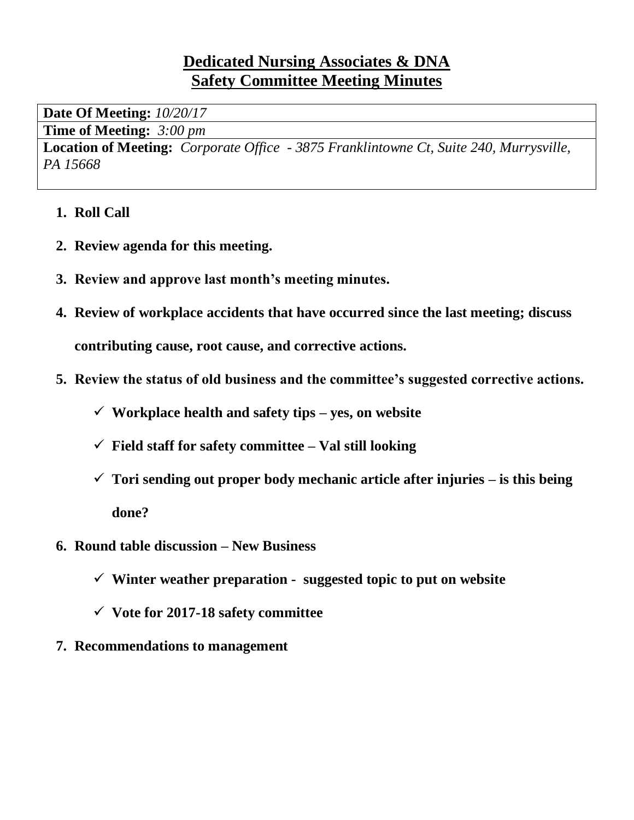## **Dedicated Nursing Associates & DNA Safety Committee Meeting Minutes**

**Date Of Meeting:** *10/20/17*

**Time of Meeting:** *3:00 pm*

**Location of Meeting:** *Corporate Office - 3875 Franklintowne Ct, Suite 240, Murrysville, PA 15668*

- **1. Roll Call**
- **2. Review agenda for this meeting.**
- **3. Review and approve last month's meeting minutes.**
- **4. Review of workplace accidents that have occurred since the last meeting; discuss contributing cause, root cause, and corrective actions.**
- **5. Review the status of old business and the committee's suggested corrective actions.**
	- ✓ **Workplace health and safety tips – yes, on website**
	- ✓ **Field staff for safety committee – Val still looking**
	- ✓ **Tori sending out proper body mechanic article after injuries – is this being done?**
- **6. Round table discussion – New Business**
	- ✓ **Winter weather preparation - suggested topic to put on website**
	- ✓ **Vote for 2017-18 safety committee**
- **7. Recommendations to management**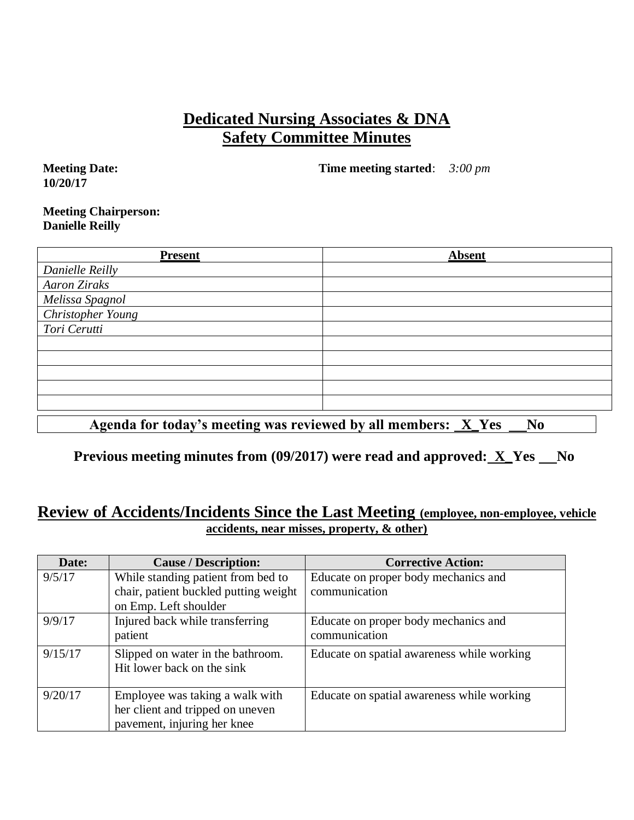### **Dedicated Nursing Associates & DNA Safety Committee Minutes**

**Meeting Date: 10/20/17**

**Time meeting started**: *3:00 pm*

#### **Meeting Chairperson: Danielle Reilly**

| <b>Present</b>                                          | <b>Absent</b>                                                    |
|---------------------------------------------------------|------------------------------------------------------------------|
| Danielle Reilly                                         |                                                                  |
| <b>Aaron Ziraks</b>                                     |                                                                  |
| Melissa Spagnol                                         |                                                                  |
| <b>Christopher Young</b>                                |                                                                  |
| Tori Cerutti                                            |                                                                  |
|                                                         |                                                                  |
|                                                         |                                                                  |
|                                                         |                                                                  |
|                                                         |                                                                  |
|                                                         |                                                                  |
| $\sim$ $\sim$ $\sim$ $\sim$ $\sim$ $\sim$ $\sim$ $\sim$ | うちゅうしゃ こうしゃ こうしゅう こうしょう こうしょう こうしん こうしょう こうしょう<br>$ -$<br>___ __ |

Agenda for today's meeting was reviewed by all members: <u>X</u> Yes No

**Previous meeting minutes from (09/2017) were read and approved: X\_Yes No** 

#### **Review of Accidents/Incidents Since the Last Meeting (employee, non-employee, vehicle accidents, near misses, property, & other)**

| Date:   | <b>Cause / Description:</b>           | <b>Corrective Action:</b>                  |
|---------|---------------------------------------|--------------------------------------------|
| 9/5/17  | While standing patient from bed to    | Educate on proper body mechanics and       |
|         | chair, patient buckled putting weight | communication                              |
|         | on Emp. Left shoulder                 |                                            |
| 9/9/17  | Injured back while transferring       | Educate on proper body mechanics and       |
|         | patient                               | communication                              |
| 9/15/17 | Slipped on water in the bathroom.     | Educate on spatial awareness while working |
|         | Hit lower back on the sink            |                                            |
|         |                                       |                                            |
| 9/20/17 | Employee was taking a walk with       | Educate on spatial awareness while working |
|         | her client and tripped on uneven      |                                            |
|         | pavement, injuring her knee           |                                            |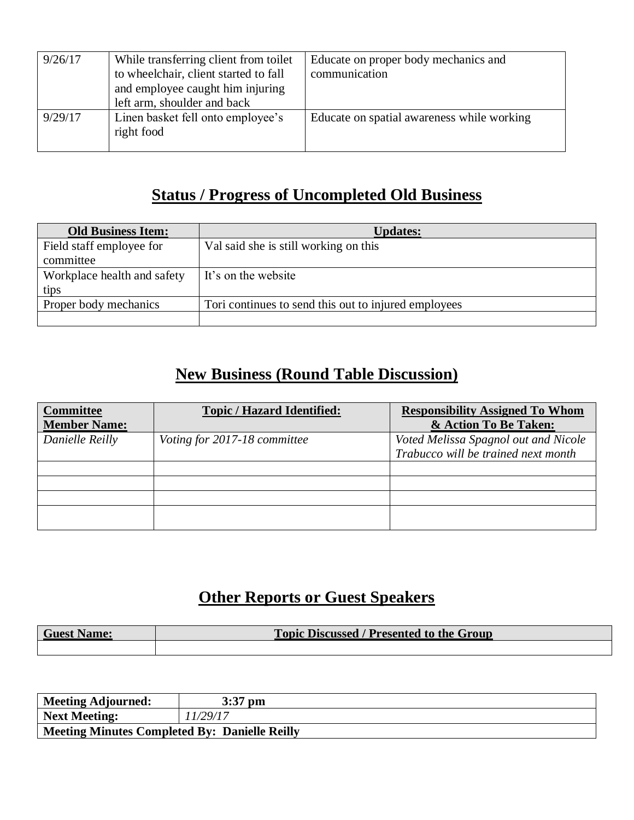| 9/26/17 | While transferring client from toilet<br>to wheelchair, client started to fall<br>and employee caught him injuring<br>left arm, shoulder and back | Educate on proper body mechanics and<br>communication |
|---------|---------------------------------------------------------------------------------------------------------------------------------------------------|-------------------------------------------------------|
| 9/29/17 | Linen basket fell onto employee's<br>right food                                                                                                   | Educate on spatial awareness while working            |

# **Status / Progress of Uncompleted Old Business**

| <b>Old Business Item:</b>   | <b>Updates:</b>                                      |
|-----------------------------|------------------------------------------------------|
| Field staff employee for    | Val said she is still working on this                |
| committee                   |                                                      |
| Workplace health and safety | It's on the website                                  |
| tips                        |                                                      |
| Proper body mechanics       | Tori continues to send this out to injured employees |
|                             |                                                      |

# **New Business (Round Table Discussion)**

| <b>Committee</b><br><b>Member Name:</b> | <b>Topic / Hazard Identified:</b> | <b>Responsibility Assigned To Whom</b><br>& Action To Be Taken:             |
|-----------------------------------------|-----------------------------------|-----------------------------------------------------------------------------|
| Danielle Reilly                         | Voting for 2017-18 committee      | Voted Melissa Spagnol out and Nicole<br>Trabucco will be trained next month |
|                                         |                                   |                                                                             |
|                                         |                                   |                                                                             |
|                                         |                                   |                                                                             |
|                                         |                                   |                                                                             |

# **Other Reports or Guest Speakers**

| <b>Guest Name:</b> | <b>Topic Discussed / Presented to the Group</b> |
|--------------------|-------------------------------------------------|
|                    |                                                 |

| Meeting Adjourned:                            | $3:37$ pm |
|-----------------------------------------------|-----------|
| Next Meeting:                                 | '1/29/17  |
| Meeting Minutes Completed By: Danielle Reilly |           |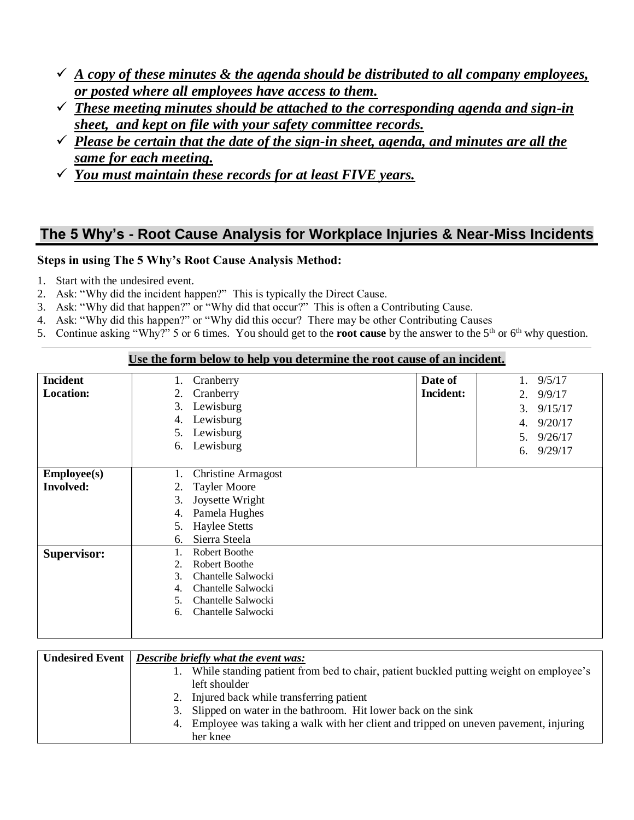- $\checkmark$  *A copy of these minutes & the agenda should be distributed to all company employees, or posted where all employees have access to them.*
- ✓ *These meeting minutes should be attached to the corresponding agenda and sign-in sheet, and kept on file with your safety committee records.*
- ✓ *Please be certain that the date of the sign-in sheet, agenda, and minutes are all the same for each meeting.*
- ✓ *You must maintain these records for at least FIVE years.*

### **The 5 Why's - Root Cause Analysis for Workplace Injuries & Near-Miss Incidents**

#### **Steps in using The 5 Why's Root Cause Analysis Method:**

- 1. Start with the undesired event.
- 2. Ask: "Why did the incident happen?" This is typically the Direct Cause.
- 3. Ask: "Why did that happen?" or "Why did that occur?" This is often a Contributing Cause.
- 4. Ask: "Why did this happen?" or "Why did this occur? There may be other Contributing Causes
- 5. Continue asking "Why?" 5 or 6 times. You should get to the **root cause** by the answer to the 5th or 6th why question.

**Use the form below to help you determine the root cause of an incident.**

|                    | <u>De ene forme delo 87 eo help you weelfhinie ene foot euerde of un micruelle</u> |                  |               |
|--------------------|------------------------------------------------------------------------------------|------------------|---------------|
| <b>Incident</b>    | Cranberry<br>1.                                                                    | Date of          | 9/5/17<br>1.  |
| <b>Location:</b>   | Cranberry<br>2.                                                                    | <b>Incident:</b> | 9/9/17<br>2.  |
|                    | Lewisburg<br>3.                                                                    |                  | 3.<br>9/15/17 |
|                    | Lewisburg<br>4.                                                                    |                  | 9/20/17<br>4. |
|                    | Lewisburg<br>5.                                                                    |                  |               |
|                    | Lewisburg<br>6.                                                                    |                  | 9/26/17<br>5. |
|                    |                                                                                    |                  | 9/29/17<br>6. |
| <b>Employee(s)</b> | Christine Armagost<br>1.                                                           |                  |               |
|                    |                                                                                    |                  |               |
| <b>Involved:</b>   | <b>Tayler Moore</b><br>2.                                                          |                  |               |
|                    | Joysette Wright<br>3.                                                              |                  |               |
|                    | Pamela Hughes<br>4.                                                                |                  |               |
|                    | <b>Haylee Stetts</b><br>5.                                                         |                  |               |
|                    | Sierra Steela<br>6.                                                                |                  |               |
| <b>Supervisor:</b> | Robert Boothe<br>1.                                                                |                  |               |
|                    | Robert Boothe<br>2.                                                                |                  |               |
|                    | 3.<br>Chantelle Salwocki                                                           |                  |               |
|                    | Chantelle Salwocki<br>4.                                                           |                  |               |
|                    | Chantelle Salwocki<br>5.                                                           |                  |               |
|                    | Chantelle Salwocki<br>6.                                                           |                  |               |
|                    |                                                                                    |                  |               |
|                    |                                                                                    |                  |               |

| <b>Undesired Event</b> | Describe briefly what the event was:                                                      |  |  |
|------------------------|-------------------------------------------------------------------------------------------|--|--|
|                        | While standing patient from bed to chair, patient buckled putting weight on employee's    |  |  |
|                        | left shoulder                                                                             |  |  |
|                        | 2. Injured back while transferring patient                                                |  |  |
|                        | 3. Slipped on water in the bathroom. Hit lower back on the sink                           |  |  |
|                        | Employee was taking a walk with her client and tripped on uneven pavement, injuring<br>4. |  |  |
|                        | her knee                                                                                  |  |  |